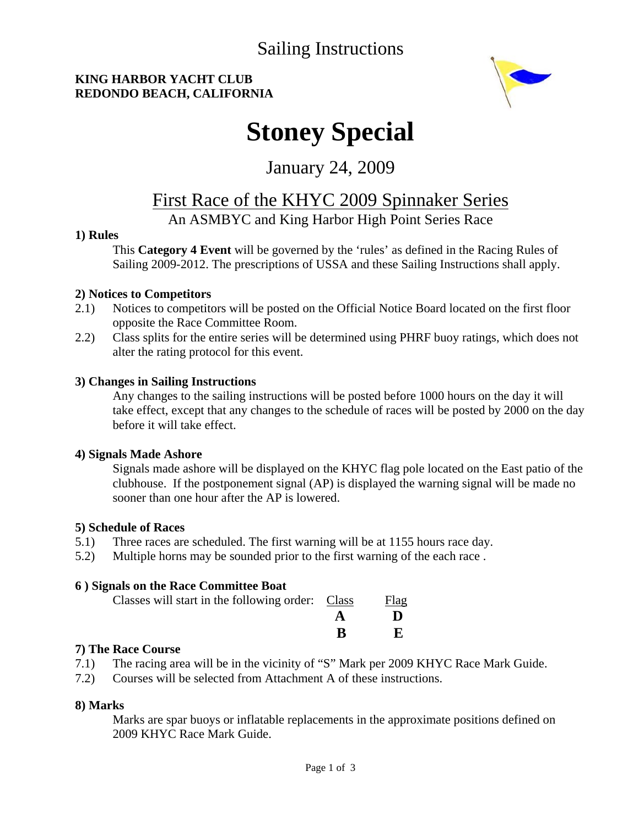### Sailing Instructions

### **KING HARBOR YACHT CLUB REDONDO BEACH, CALIFORNIA**



# **Stoney Special**

### January 24, 2009

### First Race of the KHYC 2009 Spinnaker Series

### An ASMBYC and King Harbor High Point Series Race

### **1) Rules**

 This **Category 4 Event** will be governed by the 'rules' as defined in the Racing Rules of Sailing 2009-2012. The prescriptions of USSA and these Sailing Instructions shall apply.

### **2) Notices to Competitors**

- 2.1) Notices to competitors will be posted on the Official Notice Board located on the first floor opposite the Race Committee Room.
- 2.2) Class splits for the entire series will be determined using PHRF buoy ratings, which does not alter the rating protocol for this event.

### **3) Changes in Sailing Instructions**

 Any changes to the sailing instructions will be posted before 1000 hours on the day it will take effect, except that any changes to the schedule of races will be posted by 2000 on the day before it will take effect.

### **4) Signals Made Ashore**

 Signals made ashore will be displayed on the KHYC flag pole located on the East patio of the clubhouse. If the postponement signal (AP) is displayed the warning signal will be made no sooner than one hour after the AP is lowered.

### **5) Schedule of Races**

- 5.1) Three races are scheduled. The first warning will be at 1155 hours race day.
- 5.2) Multiple horns may be sounded prior to the first warning of the each race .

### **6 ) Signals on the Race Committee Boat**

| Classes will start in the following order: Class | Flag |
|--------------------------------------------------|------|
|                                                  |      |
|                                                  |      |

### **7) The Race Course**

- 7.1) The racing area will be in the vicinity of "S" Mark per 2009 KHYC Race Mark Guide.
- 7.2) Courses will be selected from Attachment A of these instructions.

### **8) Marks**

 Marks are spar buoys or inflatable replacements in the approximate positions defined on 2009 KHYC Race Mark Guide.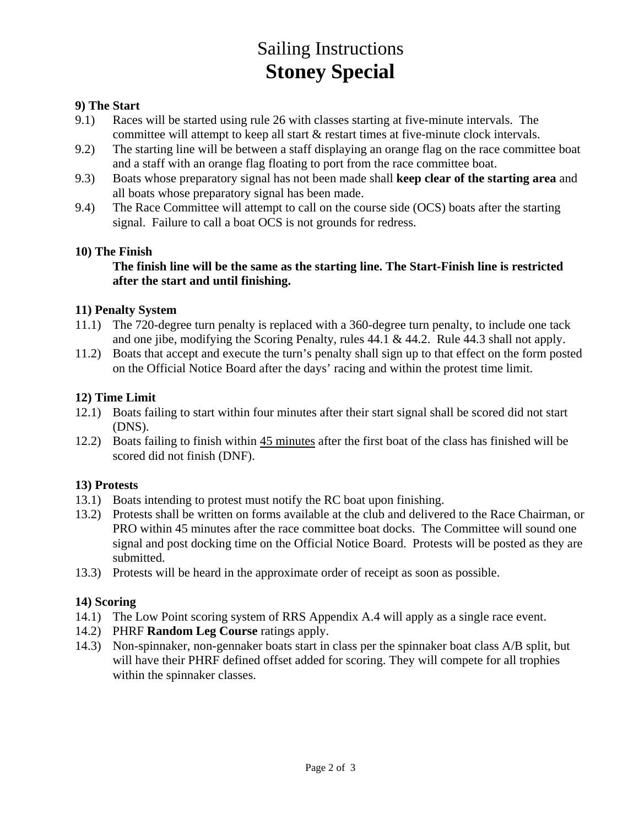## Sailing Instructions **Stoney Special**

### **9) The Start**

- 9.1) Races will be started using rule 26 with classes starting at five-minute intervals. The committee will attempt to keep all start & restart times at five-minute clock intervals.
- 9.2) The starting line will be between a staff displaying an orange flag on the race committee boat and a staff with an orange flag floating to port from the race committee boat.
- 9.3) Boats whose preparatory signal has not been made shall **keep clear of the starting area** and all boats whose preparatory signal has been made.
- 9.4) The Race Committee will attempt to call on the course side (OCS) boats after the starting signal. Failure to call a boat OCS is not grounds for redress.

#### **10) The Finish**

### **The finish line will be the same as the starting line. The Start-Finish line is restricted after the start and until finishing.**

#### **11) Penalty System**

- 11.1) The 720-degree turn penalty is replaced with a 360-degree turn penalty, to include one tack and one jibe, modifying the Scoring Penalty, rules 44.1 & 44.2. Rule 44.3 shall not apply.
- 11.2) Boats that accept and execute the turn's penalty shall sign up to that effect on the form posted on the Official Notice Board after the days' racing and within the protest time limit.

### **12) Time Limit**

- 12.1) Boats failing to start within four minutes after their start signal shall be scored did not start (DNS).
- 12.2) Boats failing to finish within 45 minutes after the first boat of the class has finished will be scored did not finish (DNF).

### **13) Protests**

- 13.1) Boats intending to protest must notify the RC boat upon finishing.
- 13.2) Protests shall be written on forms available at the club and delivered to the Race Chairman, or PRO within 45 minutes after the race committee boat docks. The Committee will sound one signal and post docking time on the Official Notice Board. Protests will be posted as they are submitted.
- 13.3) Protests will be heard in the approximate order of receipt as soon as possible.

### **14) Scoring**

- 14.1) The Low Point scoring system of RRS Appendix A.4 will apply as a single race event.
- 14.2) PHRF **Random Leg Course** ratings apply.
- 14.3) Non-spinnaker, non-gennaker boats start in class per the spinnaker boat class A/B split, but will have their PHRF defined offset added for scoring. They will compete for all trophies within the spinnaker classes.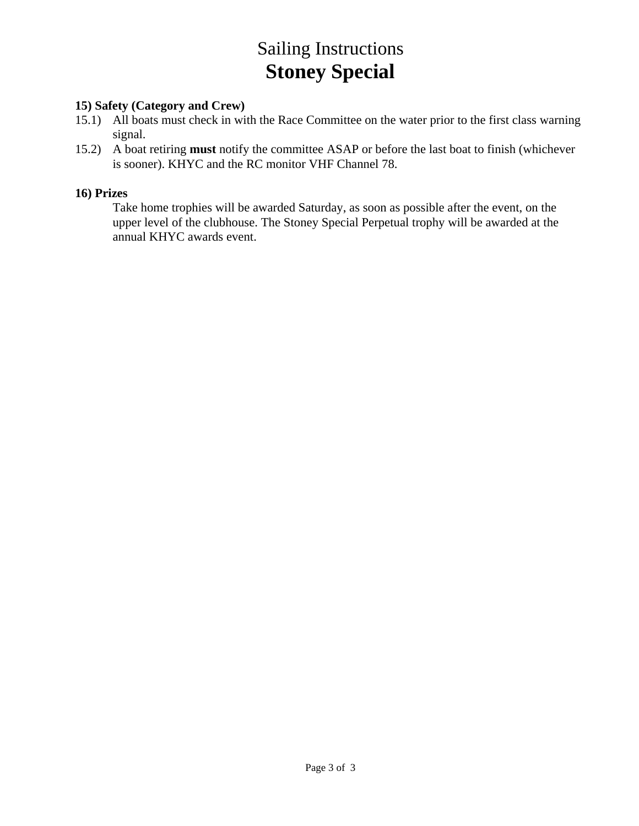## Sailing Instructions **Stoney Special**

### **15) Safety (Category and Crew)**

- 15.1) All boats must check in with the Race Committee on the water prior to the first class warning signal.
- 15.2) A boat retiring **must** notify the committee ASAP or before the last boat to finish (whichever is sooner). KHYC and the RC monitor VHF Channel 78.

### **16) Prizes**

 Take home trophies will be awarded Saturday, as soon as possible after the event, on the upper level of the clubhouse. The Stoney Special Perpetual trophy will be awarded at the annual KHYC awards event.